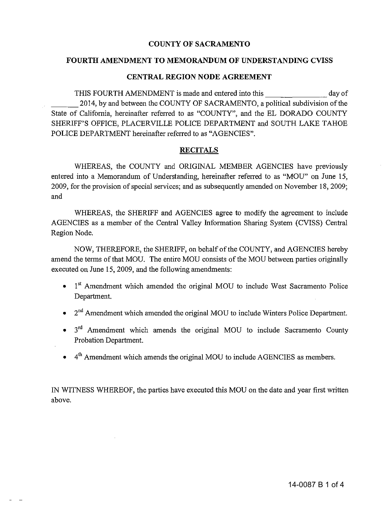#### COUNTY OF SACRAMENTO

#### **FOURTH AMENDMENT TO MEMORANDUM OF UNDERSTANDING CVISS**

#### **CENTRAL REGION NODE AGREEMENT**

THIS FOURTH AMENDMENT is made and entered into this day of 2014, by and between the COUNTY OF SACRAMENTO, a political subdivision of the State of California, hereinafter referred to as "COUNTY", and the EL DORADO COUNTY SHERIFF'S OFFICE, PLACERVILLE POLICE DEPARTMENT and SOUTH LAKE TAHOE POLICE DEPARTMENT hereinafter referred to as "AGENCIES".

#### **RECITALS**

WHEREAS, the COUNTY and ORIGINAL MEMBER AGENCIES have previously entered into a Memorandum of Understanding, hereinafter referred to as "MOU" on June 15, 2009, for the provision of special services; and as subsequently amended on November 18, 2009; and

WHEREAS, the SHERIFF and AGENCIES agree to modify the agreement to include AGENCIES as a member of the Central Valley Information Sharing System (CVISS) Central Region Node.

NOW, THEREFORE, the SHERIFF, on behalf of the COUNTY, and AGENCIES hereby amend the terms of that MOU. The entire MOU consists of the MOU between parties originally executed on June 15,2009, and the following amendments:

- $\bullet$  1<sup>st</sup> Amendment which amended the original MOU to include West Sacramento Police Department.
- 2<sup>nd</sup> Amendment which amended the original MOU to include Winters Police Department.
- 3<sup>rd</sup> Amendment which amends the original MOU to include Sacramento County Probation Department.
- $4<sup>th</sup>$  Amendment which amends the original MOU to include AGENCIES as members.

IN WITNESS WHEREOF, the parties have executed this MOU on the date and year first written above.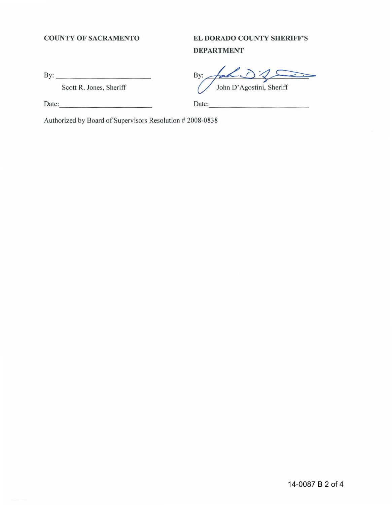#### **COUNTY OF SACRAMENTO**

## **EL DORADO COUNTY SHERIFF'S DEPARTMENT**

By: \_\_\_\_\_\_\_\_\_\_\_\_\_\_\_\_\_\_ \_

Scott R. Jones, Sheriff

By: John D'Agostini, Sheriff

Date:

Date:

Authorized by Board of Supervisors Resolution # 2008-0838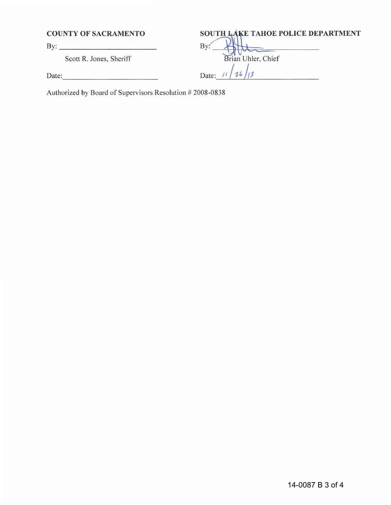Scott R. Jones, Sheriff

### **COUNTY OF SACRAMENTO 80UTH LAKE TAHOE POLICE DEPARTMENT**

By: \_\_\_\_\_\_\_\_ \_ \_ By. ----:4l~;;;:c;==~-- Date:  $\frac{1}{\sqrt{2}}$  Date:  $\frac{1}{\sqrt{2}}$ 

Authorized by Board of Supervisors Resolution # 2008-0838